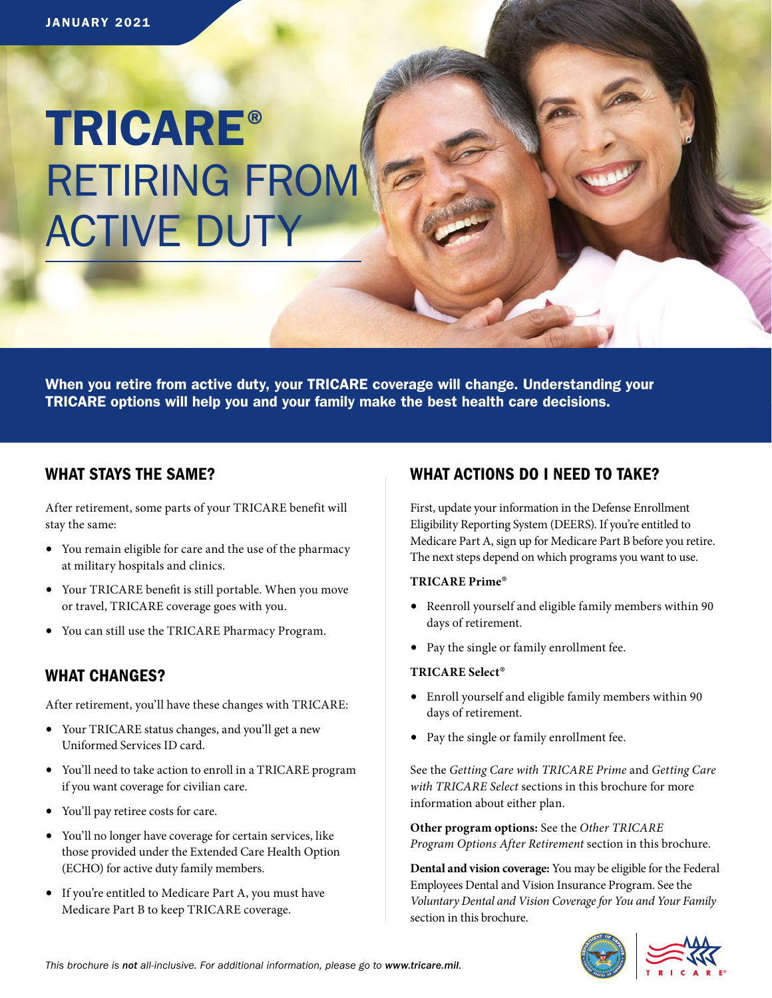# TRICARE® RETIRING FROM ACTIVE DUTY

When you retire from active duty, your TRICARE coverage will change. Understanding your TRICARE options will help you and your family make the best health care decisions.

# WHAT STAYS THE SAME?

After retirement, some parts of your TRICARE benefit will stay the same:

- You remain eligible for care and the use of the pharmacy at military hospitals and clinics.
- Your TRICARE benefit is still portable. When you move or travel, TRICARE coverage goes with you.
- You can still use the TRICARE Pharmacy Program.

# WHAT CHANGES?

After retirement, you'll have these changes with TRICARE:

- Your TRICARE status changes, and you'll get a new Uniformed Services ID card.
- You'll need to take action to enroll in a TRICARE program if you want coverage for civilian care.
- You'll pay retiree costs for care.
- You'll no longer have coverage for certain services, like those provided under the Extended Care Health Option (ECHO) for active duty family members.
- If you're entitled to Medicare Part A, you must have Medicare Part B to keep TRICARE coverage.

# WHAT ACTIONS DO I NEED TO TAKE?

First, update your information in the Defense Enrollment Eligibility Reporting System (DEERS). If you're entitled to Medicare Part A, sign up for Medicare Part B before you retire. The next steps depend on which programs you want to use.

# **TRICARE Prime**®

- Reenroll yourself and eligible family members within 90 days of retirement.
- Pay the single or family enrollment fee.

# **TRICARE Select**®

- Enroll yourself and eligible family members within 90 days of retirement.
- Pay the single or family enrollment fee.

See the *Getting Care with TRICARE Prime* and *Getting Care with TRICARE Select* sections in this brochure for more information about either plan.

**Other program options:** See the *Other TRICARE Program Options After Retirement* section in this brochure*.*

**Dental and vision coverage:** You may be eligible for the Federal Employees Dental and Vision Insurance Program. See the *Voluntary Dental and Vision Coverage for You and Your Family*  section in this brochure.

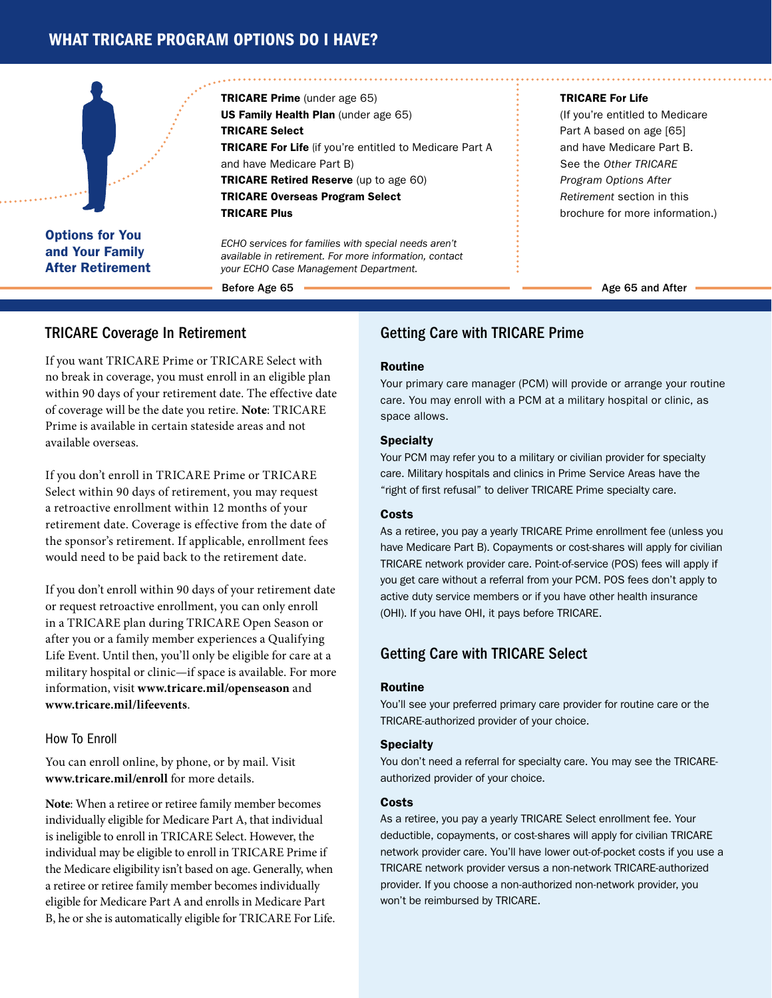# WHAT TRICARE PROGRAM OPTIONS DO I HAVE?



Options for You and Your Family After Retirement

TRICARE Prime (under age 65) US Family Health Plan (under age 65) TRICARE Select TRICARE For Life (if you're entitled to Medicare Part A and have Medicare Part B) TRICARE Retired Reserve (up to age 60) TRICARE Overseas Program Select TRICARE Plus

*ECHO services for families with special needs aren't available in retirement. For more information, contact your ECHO Case Management Department.*

Before Age 65

### TRICARE For Life

(If you're entitled to Medicare Part A based on age [65] and have Medicare Part B. See the *Other TRICARE Program Options After Retirement* section in this brochure for more information.)

Age 65 and After

# TRICARE Coverage In Retirement

If you want TRICARE Prime or TRICARE Select with no break in coverage, you must enroll in an eligible plan within 90 days of your retirement date. The effective date of coverage will be the date you retire. **Note**: TRICARE Prime is available in certain stateside areas and not available overseas.

If you don't enroll in TRICARE Prime or TRICARE Select within 90 days of retirement, you may request a retroactive enrollment within 12 months of your retirement date. Coverage is effective from the date of the sponsor's retirement. If applicable, enrollment fees would need to be paid back to the retirement date.

If you don't enroll within 90 days of your retirement date or request retroactive enrollment, you can only enroll in a TRICARE plan during TRICARE Open Season or after you or a family member experiences a Qualifying Life Event. Until then, you'll only be eligible for care at a military hospital or clinic—if space is available. For more information, visit **[www.tricare.mil/openseason](https://www.tricare.mil/openseason)** an[d](https:// www.tricare.mil/lifeevents ) **[www.tricare.mil/lifeevents](https:// www.tricare.mil/lifeevents )**.

# How To Enroll

You can enroll online, by phone, or by mail. Visit **[www.tricare.mil/enroll](https://www.tricare.mil/enroll)** for more details.

**Note**: When a retiree or retiree family member becomes individually eligible for Medicare Part A, that individual is ineligible to enroll in TRICARE Select. However, the individual may be eligible to enroll in TRICARE Prime if the Medicare eligibility isn't based on age. Generally, when a retiree or retiree family member becomes individually eligible for Medicare Part A and enrolls in Medicare Part B, he or she is automatically eligible for TRICARE For Life.

# Getting Care with TRICARE Prime

# Routine

Your primary care manager (PCM) will provide or arrange your routine care. You may enroll with a PCM at a military hospital or clinic, as space allows.

### Specialty

Your PCM may refer you to a military or civilian provider for specialty care. Military hospitals and clinics in Prime Service Areas have the "right of first refusal" to deliver TRICARE Prime specialty care.

### Costs

As a retiree, you pay a yearly TRICARE Prime enrollment fee (unless you have Medicare Part B). Copayments or cost-shares will apply for civilian TRICARE network provider care. Point-of-service (POS) fees will apply if you get care without a referral from your PCM. POS fees don't apply to active duty service members or if you have other health insurance (OHI). If you have OHI, it pays before TRICARE.

# Getting Care with TRICARE Select

#### Routine

You'll see your preferred primary care provider for routine care or the TRICARE-authorized provider of your choice.

# **Specialty**

You don't need a referral for specialty care. You may see the TRICAREauthorized provider of your choice.

# **Costs**

As a retiree, you pay a yearly TRICARE Select enrollment fee. Your deductible, copayments, or cost-shares will apply for civilian TRICARE network provider care. You'll have lower out-of-pocket costs if you use a TRICARE network provider versus a non-network TRICARE-authorized provider. If you choose a non-authorized non-network provider, you won't be reimbursed by TRICARE.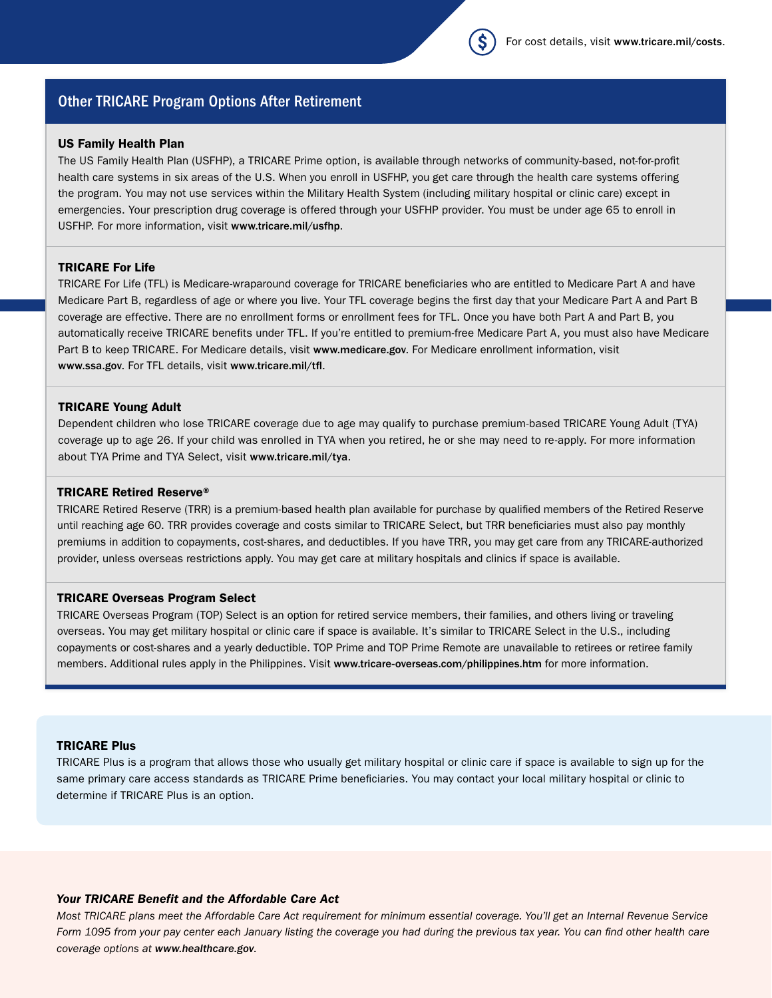# Other TRICARE Program Options After Retirement

# US Family Health Plan

The US Family Health Plan (USFHP), a TRICARE Prime option, is available through networks of community-based, not-for-profit health care systems in six areas of the U.S. When you enroll in USFHP, you get care through the health care systems offering the program. You may not use services within the Military Health System (including military hospital or clinic care) except in emergencies. Your prescription drug coverage is offered through your USFHP provider. You must be under age 65 to enroll in USFHP. For more information, visit [www.tricare.mil/usfhp](https://www.tricare.mil/usfhp).

#### TRICARE For Life

Medicare Part B, regardless of age or where you live. Your TFL coverage begins the first day that your Medicare Part A and Part B coverage are effective. There are no enrollment forms or enrollment fees for TFL. Once you have both Part A and Part B, you automatically receive TRICARE benefits under TFL. If you're entitled to premium-free Medicare Part A, you must also have Medicare Part B to keep TRICARE. For Medicare details, visit [www.medicare.gov](https://www.medicare.gov). For Medicare enrollment information, visit [www.ssa.gov](https://www.ssa.gov). For TFL details, visit [www.tricare.mil/tfl](https://www.tricare.mil/tfl). TRICARE For Life (TFL) is Medicare-wraparound coverage for TRICARE beneficiaries who are entitled to Medicare Part A and have

# TRICARE Young Adult

Dependent children who lose TRICARE coverage due to age may qualify to purchase premium-based TRICARE Young Adult (TYA) coverage up to age 26. If your child was enrolled in TYA when you retired, he or she may need to re-apply. For more information about TYA Prime and TYA Select, visit [www.tricare.mil/tya](https://www.tricare.mil/tya).

# TRICARE Retired Reserve®

TRICARE Retired Reserve (TRR) is a premium-based health plan available for purchase by qualified members of the Retired Reserve until reaching age 60. TRR provides coverage and costs similar to TRICARE Select, but TRR beneficiaries must also pay monthly premiums in addition to copayments, cost-shares, and deductibles. If you have TRR, you may get care from any TRICARE-authorized provider, unless overseas restrictions apply. You may get care at military hospitals and clinics if space is available.

#### TRICARE Overseas Program Select

TRICARE Overseas Program (TOP) Select is an option for retired service members, their families, and others living or traveling overseas. You may get military hospital or clinic care if space is available. It's similar to TRICARE Select in the U.S., including copayments or cost-shares and a yearly deductible. TOP Prime and TOP Prime Remote are unavailable to retirees or retiree family members. Additional rules apply in the Philippines. Visit [www.tricare-overseas.com/philippines.htm](https://www.tricare-overseas.com/philippines.htm) for more information.

#### TRICARE Plus

TRICARE Plus is a program that allows those who usually get military hospital or clinic care if space is available to sign up for the same primary care access standards as TRICARE Prime beneficiaries. You may contact your local military hospital or clinic to determine if TRICARE Plus is an option.

# *Your TRICARE Benefit and the Affordable Care Act*

*Most TRICARE plans meet the Affordable Care Act requirement for minimum essential coverage. You'll get an Internal Revenue Service Form 1095 from your pay center each January listing the coverage you had during the previous tax year. You can find other health care coverage options at [www.healthcare.gov](https://www.healthcare.gov)*.